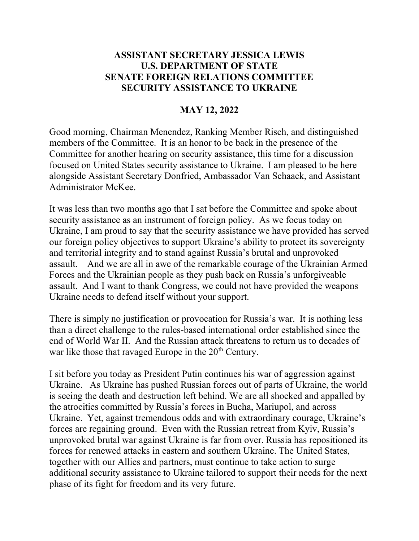## ASSISTANT SECRETARY JESSICA LEWIS U.S. DEPARTMENT OF STATE SENATE FOREIGN RELATIONS COMMITTEE SECURITY ASSISTANCE TO UKRAINE

## MAY 12, 2022

Good morning, Chairman Menendez, Ranking Member Risch, and distinguished members of the Committee. It is an honor to be back in the presence of the Committee for another hearing on security assistance, this time for a discussion focused on United States security assistance to Ukraine. I am pleased to be here alongside Assistant Secretary Donfried, Ambassador Van Schaack, and Assistant Administrator McKee.

It was less than two months ago that I sat before the Committee and spoke about security assistance as an instrument of foreign policy. As we focus today on Ukraine, I am proud to say that the security assistance we have provided has served our foreign policy objectives to support Ukraine's ability to protect its sovereignty and territorial integrity and to stand against Russia's brutal and unprovoked assault. And we are all in awe of the remarkable courage of the Ukrainian Armed Forces and the Ukrainian people as they push back on Russia's unforgiveable assault. And I want to thank Congress, we could not have provided the weapons Ukraine needs to defend itself without your support.

There is simply no justification or provocation for Russia's war. It is nothing less than a direct challenge to the rules-based international order established since the end of World War II. And the Russian attack threatens to return us to decades of war like those that ravaged Europe in the  $20<sup>th</sup>$  Century.

I sit before you today as President Putin continues his war of aggression against Ukraine. As Ukraine has pushed Russian forces out of parts of Ukraine, the world is seeing the death and destruction left behind. We are all shocked and appalled by the atrocities committed by Russia's forces in Bucha, Mariupol, and across Ukraine. Yet, against tremendous odds and with extraordinary courage, Ukraine's forces are regaining ground. Even with the Russian retreat from Kyiv, Russia's unprovoked brutal war against Ukraine is far from over. Russia has repositioned its forces for renewed attacks in eastern and southern Ukraine. The United States, together with our Allies and partners, must continue to take action to surge additional security assistance to Ukraine tailored to support their needs for the next phase of its fight for freedom and its very future.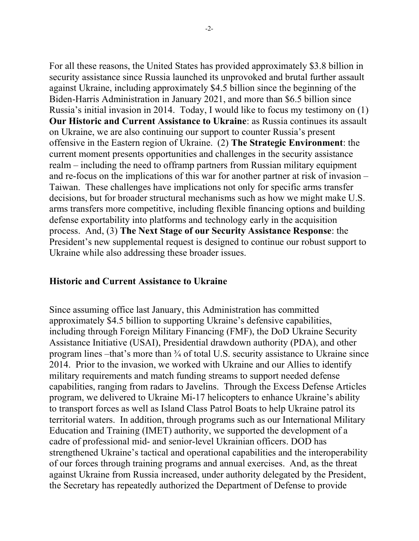For all these reasons, the United States has provided approximately \$3.8 billion in security assistance since Russia launched its unprovoked and brutal further assault against Ukraine, including approximately \$4.5 billion since the beginning of the Biden-Harris Administration in January 2021, and more than \$6.5 billion since Russia's initial invasion in 2014. Today, I would like to focus my testimony on (1) Our Historic and Current Assistance to Ukraine: as Russia continues its assault on Ukraine, we are also continuing our support to counter Russia's present offensive in the Eastern region of Ukraine. (2) The Strategic Environment: the current moment presents opportunities and challenges in the security assistance realm – including the need to offramp partners from Russian military equipment and re-focus on the implications of this war for another partner at risk of invasion – Taiwan. These challenges have implications not only for specific arms transfer decisions, but for broader structural mechanisms such as how we might make U.S. arms transfers more competitive, including flexible financing options and building defense exportability into platforms and technology early in the acquisition process. And, (3) The Next Stage of our Security Assistance Response: the President's new supplemental request is designed to continue our robust support to Ukraine while also addressing these broader issues.

#### Historic and Current Assistance to Ukraine

Since assuming office last January, this Administration has committed approximately \$4.5 billion to supporting Ukraine's defensive capabilities, including through Foreign Military Financing (FMF), the DoD Ukraine Security Assistance Initiative (USAI), Presidential drawdown authority (PDA), and other program lines –that's more than ¾ of total U.S. security assistance to Ukraine since 2014. Prior to the invasion, we worked with Ukraine and our Allies to identify military requirements and match funding streams to support needed defense capabilities, ranging from radars to Javelins. Through the Excess Defense Articles program, we delivered to Ukraine Mi-17 helicopters to enhance Ukraine's ability to transport forces as well as Island Class Patrol Boats to help Ukraine patrol its territorial waters. In addition, through programs such as our International Military Education and Training (IMET) authority, we supported the development of a cadre of professional mid- and senior-level Ukrainian officers. DOD has strengthened Ukraine's tactical and operational capabilities and the interoperability of our forces through training programs and annual exercises. And, as the threat against Ukraine from Russia increased, under authority delegated by the President, the Secretary has repeatedly authorized the Department of Defense to provide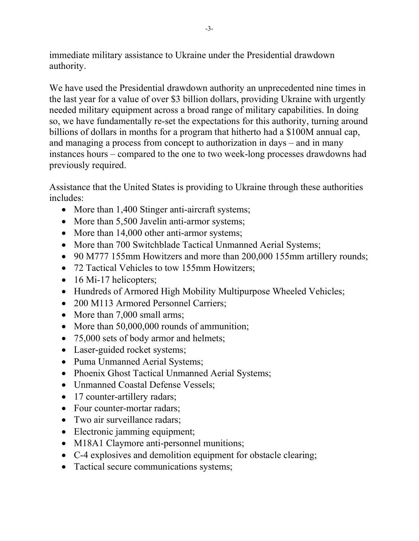immediate military assistance to Ukraine under the Presidential drawdown authority.

We have used the Presidential drawdown authority an unprecedented nine times in the last year for a value of over \$3 billion dollars, providing Ukraine with urgently needed military equipment across a broad range of military capabilities. In doing so, we have fundamentally re-set the expectations for this authority, turning around billions of dollars in months for a program that hitherto had a \$100M annual cap, and managing a process from concept to authorization in days – and in many instances hours – compared to the one to two week-long processes drawdowns had previously required.

Assistance that the United States is providing to Ukraine through these authorities includes:

- More than 1,400 Stinger anti-aircraft systems;
- More than 5,500 Javelin anti-armor systems;
- More than 14,000 other anti-armor systems;
- More than 700 Switchblade Tactical Unmanned Aerial Systems;
- 90 M777 155mm Howitzers and more than 200,000 155mm artillery rounds;
- 72 Tactical Vehicles to tow 155mm Howitzers;
- 16 Mi-17 helicopters;
- Hundreds of Armored High Mobility Multipurpose Wheeled Vehicles;
- 200 M113 Armored Personnel Carriers;
- More than 7,000 small arms;
- More than 50,000,000 rounds of ammunition;
- 75,000 sets of body armor and helmets;
- Laser-guided rocket systems;
- Puma Unmanned Aerial Systems;
- Phoenix Ghost Tactical Unmanned Aerial Systems;
- Unmanned Coastal Defense Vessels;
- 17 counter-artillery radars;
- Four counter-mortar radars;
- Two air surveillance radars;
- Electronic jamming equipment;
- M18A1 Claymore anti-personnel munitions;
- C-4 explosives and demolition equipment for obstacle clearing;
- Tactical secure communications systems;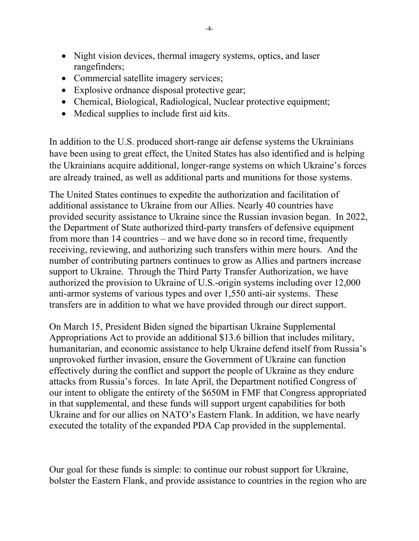- Night vision devices, thermal imagery systems, optics, and laser rangefinders;
- Commercial satellite imagery services;
- Explosive ordnance disposal protective gear;
- Chemical, Biological, Radiological, Nuclear protective equipment;
- Medical supplies to include first aid kits.

In addition to the U.S. produced short-range air defense systems the Ukrainians have been using to great effect, the United States has also identified and is helping the Ukrainians acquire additional, longer-range systems on which Ukraine's forces are already trained, as well as additional parts and munitions for those systems.

The United States continues to expedite the authorization and facilitation of additional assistance to Ukraine from our Allies. Nearly 40 countries have provided security assistance to Ukraine since the Russian invasion began. In 2022, the Department of State authorized third-party transfers of defensive equipment from more than 14 countries – and we have done so in record time, frequently receiving, reviewing, and authorizing such transfers within mere hours. And the number of contributing partners continues to grow as Allies and partners increase support to Ukraine. Through the Third Party Transfer Authorization, we have authorized the provision to Ukraine of U.S.-origin systems including over 12,000 anti-armor systems of various types and over 1,550 anti-air systems. These transfers are in addition to what we have provided through our direct support.

On March 15, President Biden signed the bipartisan Ukraine Supplemental Appropriations Act to provide an additional \$13.6 billion that includes military, humanitarian, and economic assistance to help Ukraine defend itself from Russia's unprovoked further invasion, ensure the Government of Ukraine can function effectively during the conflict and support the people of Ukraine as they endure attacks from Russia's forces. In late April, the Department notified Congress of our intent to obligate the entirety of the \$650M in FMF that Congress appropriated in that supplemental, and these funds will support urgent capabilities for both Ukraine and for our allies on NATO's Eastern Flank. In addition, we have nearly executed the totality of the expanded PDA Cap provided in the supplemental.

Our goal for these funds is simple: to continue our robust support for Ukraine, bolster the Eastern Flank, and provide assistance to countries in the region who are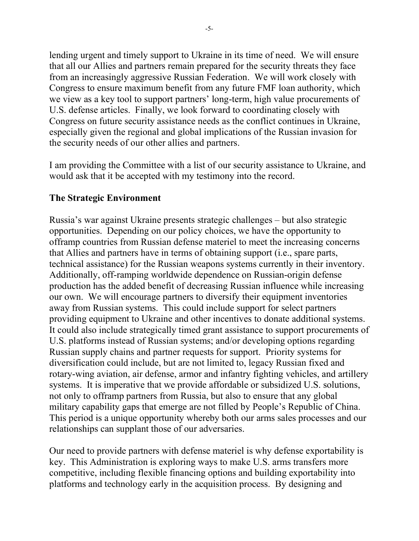lending urgent and timely support to Ukraine in its time of need. We will ensure that all our Allies and partners remain prepared for the security threats they face from an increasingly aggressive Russian Federation. We will work closely with Congress to ensure maximum benefit from any future FMF loan authority, which we view as a key tool to support partners' long-term, high value procurements of U.S. defense articles. Finally, we look forward to coordinating closely with Congress on future security assistance needs as the conflict continues in Ukraine, especially given the regional and global implications of the Russian invasion for the security needs of our other allies and partners.

I am providing the Committee with a list of our security assistance to Ukraine, and would ask that it be accepted with my testimony into the record.

### The Strategic Environment

Russia's war against Ukraine presents strategic challenges – but also strategic opportunities. Depending on our policy choices, we have the opportunity to offramp countries from Russian defense materiel to meet the increasing concerns that Allies and partners have in terms of obtaining support (i.e., spare parts, technical assistance) for the Russian weapons systems currently in their inventory. Additionally, off-ramping worldwide dependence on Russian-origin defense production has the added benefit of decreasing Russian influence while increasing our own. We will encourage partners to diversify their equipment inventories away from Russian systems. This could include support for select partners providing equipment to Ukraine and other incentives to donate additional systems. It could also include strategically timed grant assistance to support procurements of U.S. platforms instead of Russian systems; and/or developing options regarding Russian supply chains and partner requests for support. Priority systems for diversification could include, but are not limited to, legacy Russian fixed and rotary-wing aviation, air defense, armor and infantry fighting vehicles, and artillery systems. It is imperative that we provide affordable or subsidized U.S. solutions, not only to offramp partners from Russia, but also to ensure that any global military capability gaps that emerge are not filled by People's Republic of China. This period is a unique opportunity whereby both our arms sales processes and our relationships can supplant those of our adversaries.

Our need to provide partners with defense materiel is why defense exportability is key. This Administration is exploring ways to make U.S. arms transfers more competitive, including flexible financing options and building exportability into platforms and technology early in the acquisition process. By designing and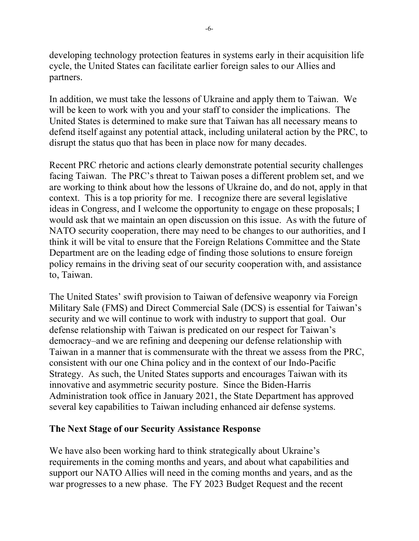developing technology protection features in systems early in their acquisition life cycle, the United States can facilitate earlier foreign sales to our Allies and partners.

In addition, we must take the lessons of Ukraine and apply them to Taiwan. We will be keen to work with you and your staff to consider the implications. The United States is determined to make sure that Taiwan has all necessary means to defend itself against any potential attack, including unilateral action by the PRC, to disrupt the status quo that has been in place now for many decades.

Recent PRC rhetoric and actions clearly demonstrate potential security challenges facing Taiwan. The PRC's threat to Taiwan poses a different problem set, and we are working to think about how the lessons of Ukraine do, and do not, apply in that context. This is a top priority for me. I recognize there are several legislative ideas in Congress, and I welcome the opportunity to engage on these proposals; I would ask that we maintain an open discussion on this issue. As with the future of NATO security cooperation, there may need to be changes to our authorities, and I think it will be vital to ensure that the Foreign Relations Committee and the State Department are on the leading edge of finding those solutions to ensure foreign policy remains in the driving seat of our security cooperation with, and assistance to, Taiwan.

The United States' swift provision to Taiwan of defensive weaponry via Foreign Military Sale (FMS) and Direct Commercial Sale (DCS) is essential for Taiwan's security and we will continue to work with industry to support that goal. Our defense relationship with Taiwan is predicated on our respect for Taiwan's democracy–and we are refining and deepening our defense relationship with Taiwan in a manner that is commensurate with the threat we assess from the PRC, consistent with our one China policy and in the context of our Indo-Pacific Strategy. As such, the United States supports and encourages Taiwan with its innovative and asymmetric security posture. Since the Biden-Harris Administration took office in January 2021, the State Department has approved several key capabilities to Taiwan including enhanced air defense systems.

# The Next Stage of our Security Assistance Response

We have also been working hard to think strategically about Ukraine's requirements in the coming months and years, and about what capabilities and support our NATO Allies will need in the coming months and years, and as the war progresses to a new phase. The FY 2023 Budget Request and the recent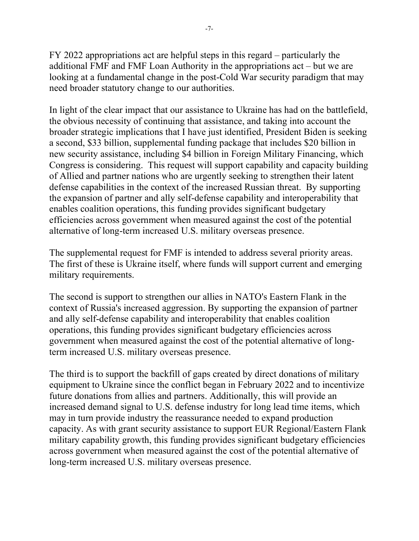FY 2022 appropriations act are helpful steps in this regard – particularly the additional FMF and FMF Loan Authority in the appropriations act – but we are looking at a fundamental change in the post-Cold War security paradigm that may need broader statutory change to our authorities.

In light of the clear impact that our assistance to Ukraine has had on the battlefield, the obvious necessity of continuing that assistance, and taking into account the broader strategic implications that I have just identified, President Biden is seeking a second, \$33 billion, supplemental funding package that includes \$20 billion in new security assistance, including \$4 billion in Foreign Military Financing, which Congress is considering. This request will support capability and capacity building of Allied and partner nations who are urgently seeking to strengthen their latent defense capabilities in the context of the increased Russian threat. By supporting the expansion of partner and ally self-defense capability and interoperability that enables coalition operations, this funding provides significant budgetary efficiencies across government when measured against the cost of the potential alternative of long-term increased U.S. military overseas presence.

The supplemental request for FMF is intended to address several priority areas. The first of these is Ukraine itself, where funds will support current and emerging military requirements.

The second is support to strengthen our allies in NATO's Eastern Flank in the context of Russia's increased aggression. By supporting the expansion of partner and ally self-defense capability and interoperability that enables coalition operations, this funding provides significant budgetary efficiencies across government when measured against the cost of the potential alternative of longterm increased U.S. military overseas presence.

The third is to support the backfill of gaps created by direct donations of military equipment to Ukraine since the conflict began in February 2022 and to incentivize future donations from allies and partners. Additionally, this will provide an increased demand signal to U.S. defense industry for long lead time items, which may in turn provide industry the reassurance needed to expand production capacity. As with grant security assistance to support EUR Regional/Eastern Flank military capability growth, this funding provides significant budgetary efficiencies across government when measured against the cost of the potential alternative of long-term increased U.S. military overseas presence.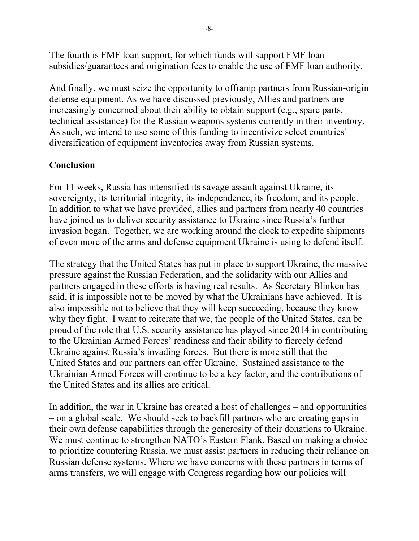The fourth is FMF loan support, for which funds will support FMF loan subsidies/guarantees and origination fees to enable the use of FMF loan authority.

And finally, we must seize the opportunity to offramp partners from Russian-origin defense equipment. As we have discussed previously, Allies and partners are increasingly concerned about their ability to obtain support (e.g., spare parts, technical assistance) for the Russian weapons systems currently in their inventory. As such, we intend to use some of this funding to incentivize select countries' diversification of equipment inventories away from Russian systems.

# Conclusion

For 11 weeks, Russia has intensified its savage assault against Ukraine, its sovereignty, its territorial integrity, its independence, its freedom, and its people. In addition to what we have provided, allies and partners from nearly 40 countries have joined us to deliver security assistance to Ukraine since Russia's further invasion began. Together, we are working around the clock to expedite shipments of even more of the arms and defense equipment Ukraine is using to defend itself.

The strategy that the United States has put in place to support Ukraine, the massive pressure against the Russian Federation, and the solidarity with our Allies and partners engaged in these efforts is having real results. As Secretary Blinken has said, it is impossible not to be moved by what the Ukrainians have achieved. It is also impossible not to believe that they will keep succeeding, because they know why they fight. I want to reiterate that we, the people of the United States, can be proud of the role that U.S. security assistance has played since 2014 in contributing to the Ukrainian Armed Forces' readiness and their ability to fiercely defend Ukraine against Russia's invading forces. But there is more still that the United States and our partners can offer Ukraine. Sustained assistance to the Ukrainian Armed Forces will continue to be a key factor, and the contributions of the United States and its allies are critical.

In addition, the war in Ukraine has created a host of challenges – and opportunities – on a global scale. We should seek to backfill partners who are creating gaps in their own defense capabilities through the generosity of their donations to Ukraine. We must continue to strengthen NATO's Eastern Flank. Based on making a choice to prioritize countering Russia, we must assist partners in reducing their reliance on Russian defense systems. Where we have concerns with these partners in terms of arms transfers, we will engage with Congress regarding how our policies will